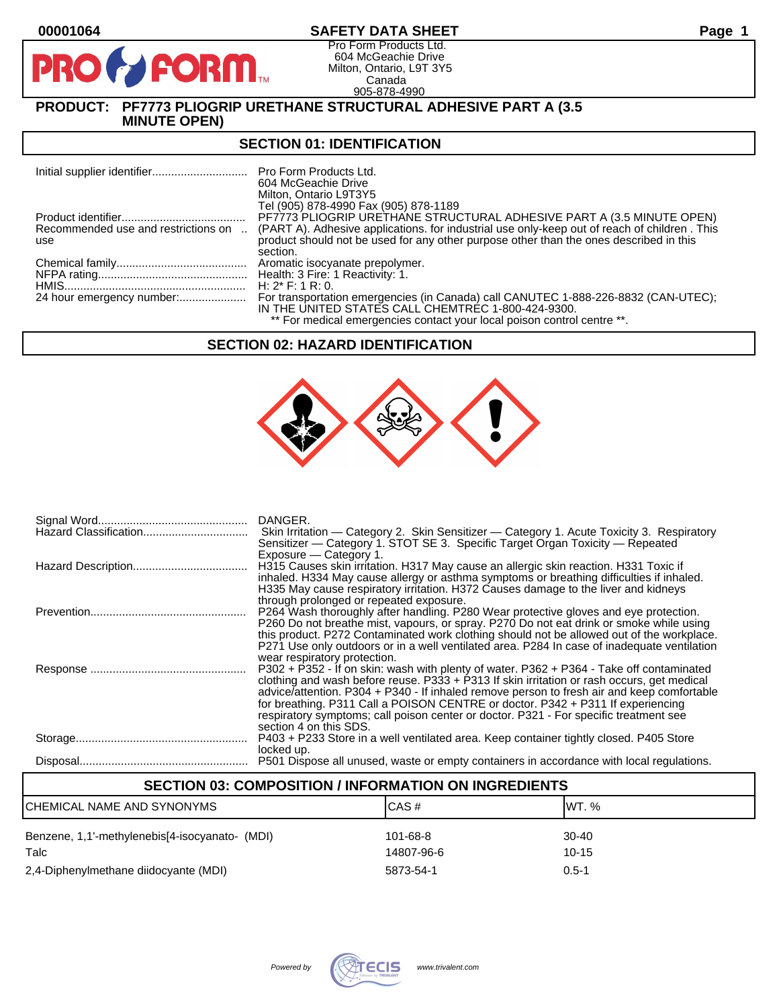D

# **00001064 SAFETY DATA SHEET Page 1**

Pro Form Products Ltd. 604 McGeachie Drive Milton, Ontario, L9T 3Y5 Canada 905-878-4990

# **PRODUCT: PF7773 PLIOGRIP URETHANE STRUCTURAL ADHESIVE PART A (3.5 MINUTE OPEN)**

**FORM** 

#### **SECTION 01: IDENTIFICATION**

|     | Pro Form Products Ltd.<br>604 McGeachie Drive<br>Milton, Ontario L9T3Y5<br>Tel (905) 878-4990 Fax (905) 878-1189                                                                                                            |
|-----|-----------------------------------------------------------------------------------------------------------------------------------------------------------------------------------------------------------------------------|
|     | PF7773 PLIOGRIP URETHANE STRUCTURAL ADHESIVE PART A (3.5 MINUTE OPEN)                                                                                                                                                       |
| use | Recommended use and restrictions on  (PART A). Adhesive applications. for industrial use only-keep out of reach of children. This<br>product should not be used for any other purpose other than the ones described in this |
|     | section.                                                                                                                                                                                                                    |
|     | Aromatic isocyanate prepolymer.                                                                                                                                                                                             |
|     |                                                                                                                                                                                                                             |
|     | H: $2^*$ F: 1 R: 0.                                                                                                                                                                                                         |
|     | For transportation emergencies (in Canada) call CANUTEC 1-888-226-8832 (CAN-UTEC);<br>IN THE UNITED STATES CALL CHEMTREC 1-800-424-9300.                                                                                    |
|     | ** For medical emergencies contact your local poison control centre **.                                                                                                                                                     |

# **SECTION 02: HAZARD IDENTIFICATION**



| DANGER.<br>Skin Irritation — Category 2. Skin Sensitizer — Category 1. Acute Toxicity 3. Respiratory<br>Sensitizer — Category 1. STOT SE 3. Specific Target Organ Toxicity — Repeated                                                                                                                                                                                                                                                                                                                                        |
|------------------------------------------------------------------------------------------------------------------------------------------------------------------------------------------------------------------------------------------------------------------------------------------------------------------------------------------------------------------------------------------------------------------------------------------------------------------------------------------------------------------------------|
| Exposure - Category 1.<br>H315 Causes skin irritation. H317 May cause an allergic skin reaction. H331 Toxic if<br>inhaled. H334 May cause allergy or asthma symptoms or breathing difficulties if inhaled.<br>H335 May cause respiratory irritation. H372 Causes damage to the liver and kidneys                                                                                                                                                                                                                             |
| through prolonged or repeated exposure.<br>P264 Wash thoroughly after handling. P280 Wear protective gloves and eye protection.<br>P260 Do not breathe mist, vapours, or spray. P270 Do not eat drink or smoke while using<br>this product. P272 Contaminated work clothing should not be allowed out of the workplace.<br>P271 Use only outdoors or in a well ventilated area. P284 In case of inadequate ventilation                                                                                                       |
| wear respiratory protection.<br>P302 + P352 - If on skin: wash with plenty of water. P362 + P364 - Take off contaminated<br>clothing and wash before reuse. $P333 + P313$ If skin irritation or rash occurs, get medical<br>advice/attention. P304 + P340 - If inhaled remove person to fresh air and keep comfortable<br>for breathing. P311 Call a POISON CENTRE or doctor. P342 + P311 If experiencing<br>respiratory symptoms; call poison center or doctor. P321 - For specific treatment see<br>section 4 on this SDS. |
| P403 + P233 Store in a well ventilated area. Keep container tightly closed. P405 Store<br>locked up.                                                                                                                                                                                                                                                                                                                                                                                                                         |
| P501 Dispose all unused, waste or empty containers in accordance with local regulations.                                                                                                                                                                                                                                                                                                                                                                                                                                     |

| <b>SECTION 03: COMPOSITION / INFORMATION ON INGREDIENTS</b> |            |           |  |  |
|-------------------------------------------------------------|------------|-----------|--|--|
| ICAS#<br>IWT. %<br>ICHEMICAL NAME AND SYNONYMS              |            |           |  |  |
| Benzene, 1,1'-methylenebis[4-isocyanato- (MDI)              | 101-68-8   | 30-40     |  |  |
| Talc                                                        | 14807-96-6 | $10 - 15$ |  |  |
| 2,4-Diphenylmethane diidocyante (MDI)                       | 5873-54-1  | $0.5 - 1$ |  |  |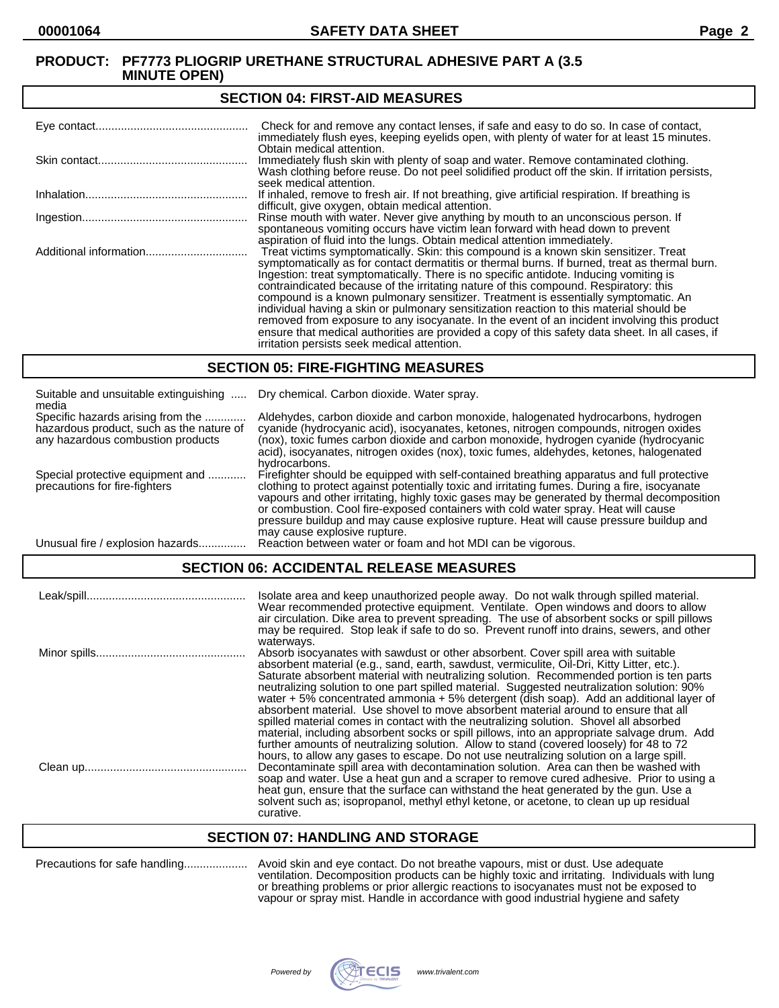#### **SECTION 04: FIRST-AID MEASURES**

| Check for and remove any contact lenses, if safe and easy to do so. In case of contact,<br>immediately flush eyes, keeping eyelids open, with plenty of water for at least 15 minutes.                                                                                                                                                                                                                                                                                                                                                                                                                                                                                                                                                                                                                   |
|----------------------------------------------------------------------------------------------------------------------------------------------------------------------------------------------------------------------------------------------------------------------------------------------------------------------------------------------------------------------------------------------------------------------------------------------------------------------------------------------------------------------------------------------------------------------------------------------------------------------------------------------------------------------------------------------------------------------------------------------------------------------------------------------------------|
| Obtain medical attention.<br>Immediately flush skin with plenty of soap and water. Remove contaminated clothing.<br>Wash clothing before reuse. Do not peel solidified product off the skin. If irritation persists,<br>seek medical attention.                                                                                                                                                                                                                                                                                                                                                                                                                                                                                                                                                          |
| If inhaled, remove to fresh air. If not breathing, give artificial respiration. If breathing is<br>difficult, give oxygen, obtain medical attention.                                                                                                                                                                                                                                                                                                                                                                                                                                                                                                                                                                                                                                                     |
| Rinse mouth with water. Never give anything by mouth to an unconscious person. If<br>spontaneous vomiting occurs have victim lean forward with head down to prevent<br>aspiration of fluid into the lungs. Obtain medical attention immediately.                                                                                                                                                                                                                                                                                                                                                                                                                                                                                                                                                         |
| Treat victims symptomatically. Skin: this compound is a known skin sensitizer. Treat<br>symptomatically as for contact dermatitis or thermal burns. If burned, treat as thermal burn.<br>Ingestion: treat symptomatically. There is no specific antidote. Inducing vomiting is<br>contraindicated because of the irritating nature of this compound. Respiratory: this<br>compound is a known pulmonary sensitizer. Treatment is essentially symptomatic. An<br>individual having a skin or pulmonary sensitization reaction to this material should be<br>removed from exposure to any isocyanate. In the event of an incident involving this product<br>ensure that medical authorities are provided a copy of this safety data sheet. In all cases, if<br>irritation persists seek medical attention. |

#### **SECTION 05: FIRE-FIGHTING MEASURES**

| Suitable and unsuitable extinguishing<br>media                                                                     | Dry chemical. Carbon dioxide. Water spray.                                                                                                                                                                                                                                                                                                                                                                                                                                                                |
|--------------------------------------------------------------------------------------------------------------------|-----------------------------------------------------------------------------------------------------------------------------------------------------------------------------------------------------------------------------------------------------------------------------------------------------------------------------------------------------------------------------------------------------------------------------------------------------------------------------------------------------------|
| Specific hazards arising from the<br>hazardous product, such as the nature of<br>any hazardous combustion products | Aldehydes, carbon dioxide and carbon monoxide, halogenated hydrocarbons, hydrogen<br>cyanide (hydrocyanic acid), isocyanates, ketones, nitrogen compounds, nitrogen oxides<br>(nox), toxic fumes carbon dioxide and carbon monoxide, hydrogen cyanide (hydrocyanic<br>acid), isocyanates, nitrogen oxides (nox), toxic fumes, aldehydes, ketones, halogenated<br>hydrocarbons.                                                                                                                            |
| Special protective equipment and<br>precautions for fire-fighters                                                  | Firefighter should be equipped with self-contained breathing apparatus and full protective<br>clothing to protect against potentially toxic and irritating fumes. During a fire, isocyanate<br>vapours and other irritating, highly toxic gases may be generated by thermal decomposition<br>or combustion. Cool fire-exposed containers with cold water spray. Heat will cause<br>pressure buildup and may cause explosive rupture. Heat will cause pressure buildup and<br>may cause explosive rupture. |
| Unusual fire / explosion hazards                                                                                   | Reaction between water or foam and hot MDI can be vigorous.                                                                                                                                                                                                                                                                                                                                                                                                                                               |

# **SECTION 06: ACCIDENTAL RELEASE MEASURES**

| Isolate area and keep unauthorized people away. Do not walk through spilled material.<br>Wear recommended protective equipment. Ventilate. Open windows and doors to allow<br>air circulation. Dike area to prevent spreading. The use of absorbent socks or spill pillows<br>may be required. Stop leak if safe to do so. Prevent runoff into drains, sewers, and other                                                                                                                                                                                                                                                                                                                                                                                                                                                                                                                                                                                    |
|-------------------------------------------------------------------------------------------------------------------------------------------------------------------------------------------------------------------------------------------------------------------------------------------------------------------------------------------------------------------------------------------------------------------------------------------------------------------------------------------------------------------------------------------------------------------------------------------------------------------------------------------------------------------------------------------------------------------------------------------------------------------------------------------------------------------------------------------------------------------------------------------------------------------------------------------------------------|
| waterways.<br>Absorb isocyanates with sawdust or other absorbent. Cover spill area with suitable<br>absorbent material (e.g., sand, earth, sawdust, vermiculite, Oil-Dri, Kitty Litter, etc.).<br>Saturate absorbent material with neutralizing solution. Recommended portion is ten parts<br>neutralizing solution to one part spilled material. Suggested neutralization solution: 90%<br>water $+5\%$ concentrated ammonia $+5\%$ detergent (dish soap). Add an additional layer of<br>absorbent material. Use shovel to move absorbent material around to ensure that all<br>spilled material comes in contact with the neutralizing solution. Shovel all absorbed<br>material, including absorbent socks or spill pillows, into an appropriate salvage drum. Add<br>further amounts of neutralizing solution. Allow to stand (covered loosely) for 48 to 72<br>hours, to allow any gases to escape. Do not use neutralizing solution on a large spill. |
| Decontaminate spill area with decontamination solution. Area can then be washed with<br>soap and water. Use a heat gun and a scraper to remove cured adhesive. Prior to using a<br>heat gun, ensure that the surface can withstand the heat generated by the gun. Use a<br>solvent such as; isopropanol, methyl ethyl ketone, or acetone, to clean up up residual<br>curative.                                                                                                                                                                                                                                                                                                                                                                                                                                                                                                                                                                              |

# **SECTION 07: HANDLING AND STORAGE**

| Precautions for safe handling |  |
|-------------------------------|--|
|-------------------------------|--|

Precautions for safe handling.................... Avoid skin and eye contact. Do not breathe vapours, mist or dust. Use adequate ventilation. Decomposition products can be highly toxic and irritating. Individuals with lung or breathing problems or prior allergic reactions to isocyanates must not be exposed to vapour or spray mist. Handle in accordance with good industrial hygiene and safety

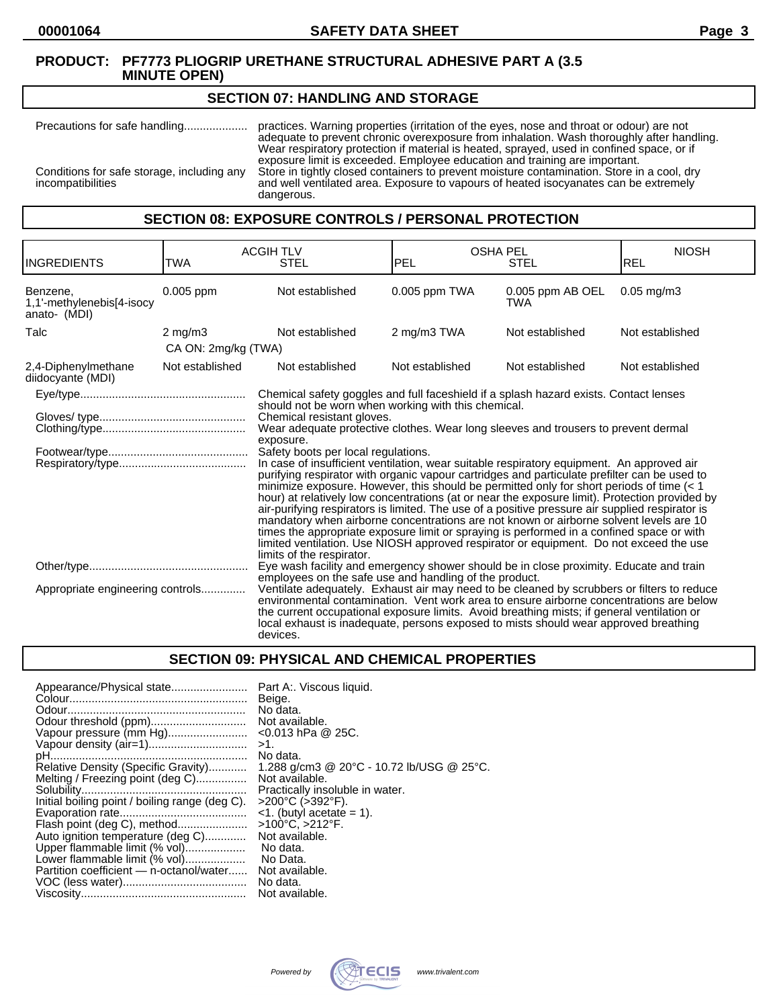#### **SECTION 07: HANDLING AND STORAGE**

Precautions for safe handling.................... practices. Warning properties (irritation of the eyes, nose and throat or odour) are not adequate to prevent chronic overexposure from inhalation. Wash thoroughly after handling. Wear respiratory protection if material is heated, sprayed, used in confined space, or if exposure limit is exceeded. Employee education and training are important. Conditions for safe storage, including any Store in tightly closed containers to prevent moisture contamination. Store in a cool, dry incompatibilities and well ventilated area. Exposure to vapours of heated isocyanates can be extremely dangerous.

#### **SECTION 08: EXPOSURE CONTROLS / PERSONAL PROTECTION**

| <b>INGREDIENTS</b>                                    | TWA                                                                                                                                                                                                                                                                                                                                                                                                                                                                                                                                         | <b>ACGIH TLV</b><br><b>STEL</b>                                                                                                                                                                                                                                                                                                                                                                                                                                                                                                                                                                                                                                                                                                                                                                                                                                                                                                                                                                                 | <b>OSHA PEL</b><br><b>PEL</b> | <b>STEL</b>             | <b>NIOSH</b><br>REL |
|-------------------------------------------------------|---------------------------------------------------------------------------------------------------------------------------------------------------------------------------------------------------------------------------------------------------------------------------------------------------------------------------------------------------------------------------------------------------------------------------------------------------------------------------------------------------------------------------------------------|-----------------------------------------------------------------------------------------------------------------------------------------------------------------------------------------------------------------------------------------------------------------------------------------------------------------------------------------------------------------------------------------------------------------------------------------------------------------------------------------------------------------------------------------------------------------------------------------------------------------------------------------------------------------------------------------------------------------------------------------------------------------------------------------------------------------------------------------------------------------------------------------------------------------------------------------------------------------------------------------------------------------|-------------------------------|-------------------------|---------------------|
| Benzene,<br>1,1'-methylenebis[4-isocy<br>anato- (MDI) | 0.005 ppm                                                                                                                                                                                                                                                                                                                                                                                                                                                                                                                                   | Not established                                                                                                                                                                                                                                                                                                                                                                                                                                                                                                                                                                                                                                                                                                                                                                                                                                                                                                                                                                                                 | 0.005 ppm TWA                 | 0.005 ppm AB OEL<br>TWA | $0.05$ mg/m $3$     |
| Talc                                                  | $2 \text{ mg/m}$                                                                                                                                                                                                                                                                                                                                                                                                                                                                                                                            | Not established                                                                                                                                                                                                                                                                                                                                                                                                                                                                                                                                                                                                                                                                                                                                                                                                                                                                                                                                                                                                 | 2 mg/m3 TWA                   | Not established         | Not established     |
|                                                       | CA ON: 2mg/kg (TWA)                                                                                                                                                                                                                                                                                                                                                                                                                                                                                                                         |                                                                                                                                                                                                                                                                                                                                                                                                                                                                                                                                                                                                                                                                                                                                                                                                                                                                                                                                                                                                                 |                               |                         |                     |
| 2,4-Diphenylmethane<br>diidocyante (MDI)              | Not established                                                                                                                                                                                                                                                                                                                                                                                                                                                                                                                             | Not established                                                                                                                                                                                                                                                                                                                                                                                                                                                                                                                                                                                                                                                                                                                                                                                                                                                                                                                                                                                                 | Not established               | Not established         | Not established     |
|                                                       |                                                                                                                                                                                                                                                                                                                                                                                                                                                                                                                                             | Chemical safety goggles and full faceshield if a splash hazard exists. Contact lenses                                                                                                                                                                                                                                                                                                                                                                                                                                                                                                                                                                                                                                                                                                                                                                                                                                                                                                                           |                               |                         |                     |
|                                                       |                                                                                                                                                                                                                                                                                                                                                                                                                                                                                                                                             | should not be worn when working with this chemical.<br>Chemical resistant gloves.<br>Wear adequate protective clothes. Wear long sleeves and trousers to prevent dermal<br>exposure.<br>Safety boots per local regulations.<br>In case of insufficient ventilation, wear suitable respiratory equipment. An approved air<br>purifying respirator with organic vapour cartridges and particulate prefilter can be used to<br>minimize exposure. However, this should be permitted only for short periods of time $(1hour) at relatively low concentrations (at or near the exposure limit). Protection provided byair-purifying respirators is limited. The use of a positive pressure air supplied respirator ismandatory when airborne concentrations are not known or airborne solvent levels are 10times the appropriate exposure limit or spraying is performed in a confined space or withlimited ventilation. Use NIOSH approved respirator or equipment. Do not exceed the uselimits of the respirator.$ |                               |                         |                     |
| Appropriate engineering controls                      | Eye wash facility and emergency shower should be in close proximity. Educate and train<br>employees on the safe use and handling of the product.<br>Ventilate adequately. Exhaust air may need to be cleaned by scrubbers or filters to reduce<br>environmental contamination. Vent work area to ensure airborne concentrations are below<br>the current occupational exposure limits. Avoid breathing mists; if general ventilation or<br>local exhaust is inadequate, persons exposed to mists should wear approved breathing<br>devices. |                                                                                                                                                                                                                                                                                                                                                                                                                                                                                                                                                                                                                                                                                                                                                                                                                                                                                                                                                                                                                 |                               |                         |                     |

# **SECTION 09: PHYSICAL AND CHEMICAL PROPERTIES**

| Appearance/Physical state<br>Vapour pressure (mm Hg)<br>Vapour density (air=1)<br>Relative Density (Specific Gravity)<br>Melting / Freezing point (deg C)<br>Initial boiling point / boiling range (deg C).<br>Flash point (deg C), method<br>Auto ignition temperature (deg C)<br>Upper flammable limit (% vol) | Part A:. Viscous liquid.<br>Beige.<br>No data.<br>Not available.<br>$<$ 0.013 hPa @ 25C.<br>>1.<br>No data.<br>1.288 g/cm3 @ 20°C - 10.72 lb/USG @ 25°C.<br>Not available.<br>Practically insoluble in water.<br>>200°C (>392°F).<br>$\leq$ 1. (butyl acetate = 1).<br>>100°C, >212°F.<br>Not available.<br>No data.<br>No Data. |
|------------------------------------------------------------------------------------------------------------------------------------------------------------------------------------------------------------------------------------------------------------------------------------------------------------------|----------------------------------------------------------------------------------------------------------------------------------------------------------------------------------------------------------------------------------------------------------------------------------------------------------------------------------|
|                                                                                                                                                                                                                                                                                                                  |                                                                                                                                                                                                                                                                                                                                  |
| Lower flammable limit (% vol)<br>Partition coefficient - n-octanol/water                                                                                                                                                                                                                                         | Not available.<br>No data.<br>Not available.                                                                                                                                                                                                                                                                                     |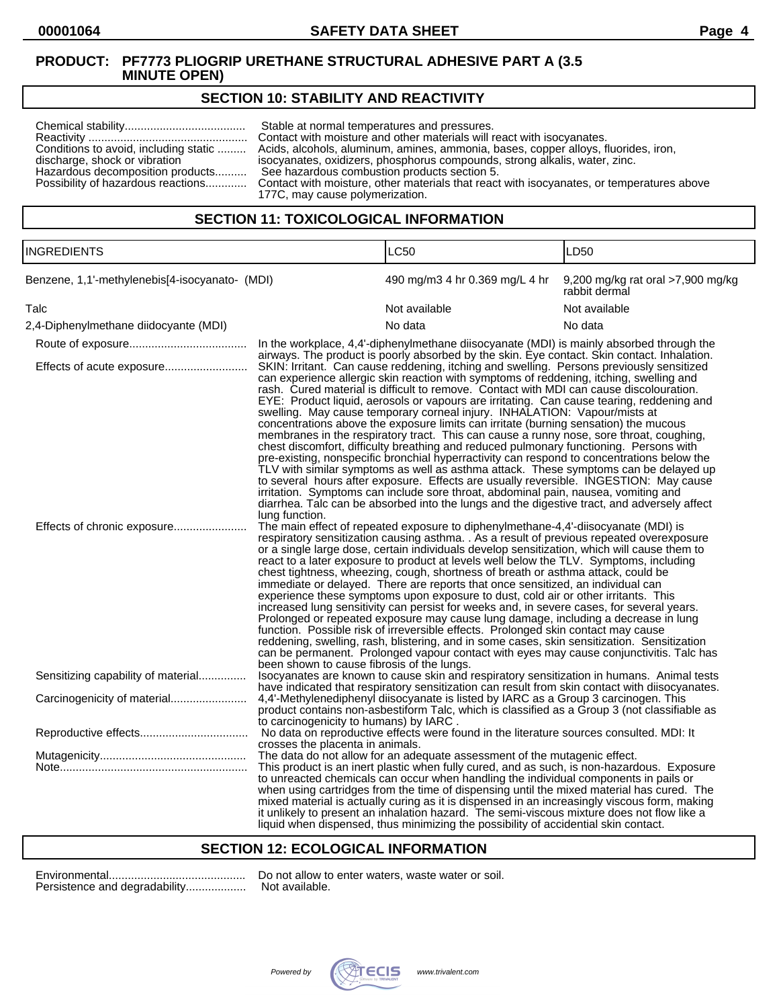# **SECTION 10: STABILITY AND REACTIVITY**

|                                       | Stable at normal temperatures and pressures.                                                                                 |
|---------------------------------------|------------------------------------------------------------------------------------------------------------------------------|
|                                       | Contact with moisture and other materials will react with isocyanates.                                                       |
| Conditions to avoid, including static | Acids, alcohols, aluminum, amines, ammonia, bases, copper alloys, fluorides, iron,                                           |
| discharge, shock or vibration         | isocyanates, oxidizers, phosphorus compounds, strong alkalis, water, zinc.                                                   |
| Hazardous decomposition products      | See hazardous combustion products section 5.                                                                                 |
| 177C, may cause polymerization.       | Possibility of hazardous reactions Contact with moisture, other materials that react with isocyanates, or temperatures above |

## **SECTION 11: TOXICOLOGICAL INFORMATION**

| <b>INGREDIENTS</b>                                     |                                                                                                                                                                                                                                                                                                                                                                                                                                                                                                                                                                                                                                                                                                                                                                                                                                                                                                                                                                                                                                                                                                         | LC50                                                                                                                                                                                                                                                                                                                                                                                                                                                                                                                                                                                                                                                                                                                                                                                                                                                                                                                                                                                                                                                                                                                                                                                                      | LD50                                               |
|--------------------------------------------------------|---------------------------------------------------------------------------------------------------------------------------------------------------------------------------------------------------------------------------------------------------------------------------------------------------------------------------------------------------------------------------------------------------------------------------------------------------------------------------------------------------------------------------------------------------------------------------------------------------------------------------------------------------------------------------------------------------------------------------------------------------------------------------------------------------------------------------------------------------------------------------------------------------------------------------------------------------------------------------------------------------------------------------------------------------------------------------------------------------------|-----------------------------------------------------------------------------------------------------------------------------------------------------------------------------------------------------------------------------------------------------------------------------------------------------------------------------------------------------------------------------------------------------------------------------------------------------------------------------------------------------------------------------------------------------------------------------------------------------------------------------------------------------------------------------------------------------------------------------------------------------------------------------------------------------------------------------------------------------------------------------------------------------------------------------------------------------------------------------------------------------------------------------------------------------------------------------------------------------------------------------------------------------------------------------------------------------------|----------------------------------------------------|
| Benzene, 1,1'-methylenebis[4-isocyanato- (MDI)<br>Talc |                                                                                                                                                                                                                                                                                                                                                                                                                                                                                                                                                                                                                                                                                                                                                                                                                                                                                                                                                                                                                                                                                                         | 490 mg/m3 4 hr 0.369 mg/L 4 hr                                                                                                                                                                                                                                                                                                                                                                                                                                                                                                                                                                                                                                                                                                                                                                                                                                                                                                                                                                                                                                                                                                                                                                            | 9,200 mg/kg rat oral >7,900 mg/kg<br>rabbit dermal |
|                                                        |                                                                                                                                                                                                                                                                                                                                                                                                                                                                                                                                                                                                                                                                                                                                                                                                                                                                                                                                                                                                                                                                                                         | Not available                                                                                                                                                                                                                                                                                                                                                                                                                                                                                                                                                                                                                                                                                                                                                                                                                                                                                                                                                                                                                                                                                                                                                                                             | Not available                                      |
| 2,4-Diphenylmethane diidocyante (MDI)                  |                                                                                                                                                                                                                                                                                                                                                                                                                                                                                                                                                                                                                                                                                                                                                                                                                                                                                                                                                                                                                                                                                                         | No data                                                                                                                                                                                                                                                                                                                                                                                                                                                                                                                                                                                                                                                                                                                                                                                                                                                                                                                                                                                                                                                                                                                                                                                                   | No data                                            |
|                                                        |                                                                                                                                                                                                                                                                                                                                                                                                                                                                                                                                                                                                                                                                                                                                                                                                                                                                                                                                                                                                                                                                                                         | In the workplace, 4,4'-diphenylmethane diisocyanate (MDI) is mainly absorbed through the<br>airways. The product is poorly absorbed by the skin. Eye contact. Skin contact. Inhalation.                                                                                                                                                                                                                                                                                                                                                                                                                                                                                                                                                                                                                                                                                                                                                                                                                                                                                                                                                                                                                   |                                                    |
| Effects of acute exposure                              | lung function.                                                                                                                                                                                                                                                                                                                                                                                                                                                                                                                                                                                                                                                                                                                                                                                                                                                                                                                                                                                                                                                                                          | SKIN: Irritant. Can cause reddening, itching and swelling. Persons previously sensitized<br>can experience allergic skin reaction with symptoms of reddening, itching, swelling and<br>rash. Cured material is difficult to remove. Contact with MDI can cause discolouration.<br>EYE: Product liquid, aerosols or vapours are irritating. Can cause tearing, reddening and<br>swelling. May cause temporary corneal injury. INHALATION: Vapour/mists at<br>concentrations above the exposure limits can irritate (burning sensation) the mucous<br>membranes in the respiratory tract. This can cause a runny nose, sore throat, coughing,<br>chest discomfort, difficulty breathing and reduced pulmonary functioning. Persons with<br>pre-existing, nonspecific bronchial hyperractivity can respond to concentrations below the<br>TLV with similar symptoms as well as asthma attack. These symptoms can be delayed up<br>to several hours after exposure. Effects are usually reversible. INGESTION: May cause<br>irritation. Symptoms can include sore throat, abdominal pain, nausea, vomiting and<br>diarrhea. Talc can be absorbed into the lungs and the digestive tract, and adversely affect |                                                    |
|                                                        | The main effect of repeated exposure to diphenylmethane-4,4'-diisocyanate (MDI) is<br>respiratory sensitization causing asthma. . As a result of previous repeated overexposure<br>or a single large dose, certain individuals develop sensitization, which will cause them to<br>react to a later exposure to product at levels well below the TLV. Symptoms, including<br>chest tightness, wheezing, cough, shortness of breath or asthma attack, could be<br>immediate or delayed. There are reports that once sensitized, an individual can<br>experience these symptoms upon exposure to dust, cold air or other irritants. This<br>increased lung sensitivity can persist for weeks and, in severe cases, for several years.<br>Prolonged or repeated exposure may cause lung damage, including a decrease in lung<br>function. Possible risk of irreversible effects. Prolonged skin contact may cause<br>reddening, swelling, rash, blistering, and in some cases, skin sensitization. Sensitization<br>can be permanent. Prolonged vapour contact with eyes may cause conjunctivitis. Talc has |                                                                                                                                                                                                                                                                                                                                                                                                                                                                                                                                                                                                                                                                                                                                                                                                                                                                                                                                                                                                                                                                                                                                                                                                           |                                                    |
| Sensitizing capability of material                     | been shown to cause fibrosis of the lungs.                                                                                                                                                                                                                                                                                                                                                                                                                                                                                                                                                                                                                                                                                                                                                                                                                                                                                                                                                                                                                                                              | Isocyanates are known to cause skin and respiratory sensitization in humans. Animal tests<br>have indicated that respiratory sensitization can result from skin contact with diisocyanates.                                                                                                                                                                                                                                                                                                                                                                                                                                                                                                                                                                                                                                                                                                                                                                                                                                                                                                                                                                                                               |                                                    |
| Carcinogenicity of material                            | to carcinogenicity to humans) by IARC.                                                                                                                                                                                                                                                                                                                                                                                                                                                                                                                                                                                                                                                                                                                                                                                                                                                                                                                                                                                                                                                                  | 4,4'-Methylenediphenyl diisocyanate is listed by IARC as a Group 3 carcinogen. This<br>product contains non-asbestiform Talc, which is classified as a Group 3 (not classifiable as                                                                                                                                                                                                                                                                                                                                                                                                                                                                                                                                                                                                                                                                                                                                                                                                                                                                                                                                                                                                                       |                                                    |
|                                                        | crosses the placenta in animals.                                                                                                                                                                                                                                                                                                                                                                                                                                                                                                                                                                                                                                                                                                                                                                                                                                                                                                                                                                                                                                                                        | No data on reproductive effects were found in the literature sources consulted. MDI: It                                                                                                                                                                                                                                                                                                                                                                                                                                                                                                                                                                                                                                                                                                                                                                                                                                                                                                                                                                                                                                                                                                                   |                                                    |
|                                                        |                                                                                                                                                                                                                                                                                                                                                                                                                                                                                                                                                                                                                                                                                                                                                                                                                                                                                                                                                                                                                                                                                                         | The data do not allow for an adequate assessment of the mutagenic effect.                                                                                                                                                                                                                                                                                                                                                                                                                                                                                                                                                                                                                                                                                                                                                                                                                                                                                                                                                                                                                                                                                                                                 |                                                    |
|                                                        |                                                                                                                                                                                                                                                                                                                                                                                                                                                                                                                                                                                                                                                                                                                                                                                                                                                                                                                                                                                                                                                                                                         | This product is an inert plastic when fully cured, and as such, is non-hazardous. Exposure<br>to unreacted chemicals can occur when handling the individual components in pails or<br>when using cartridges from the time of dispensing until the mixed material has cured. The<br>mixed material is actually curing as it is dispensed in an increasingly viscous form, making<br>it unlikely to present an inhalation hazard. The semi-viscous mixture does not flow like a<br>liquid when dispensed, thus minimizing the possibility of accidential skin contact.                                                                                                                                                                                                                                                                                                                                                                                                                                                                                                                                                                                                                                      |                                                    |

#### **SECTION 12: ECOLOGICAL INFORMATION**

| Persistence and degradability |
|-------------------------------|

Environmental........................................... Do not allow to enter waters, waste water or soil. ..... Not available.

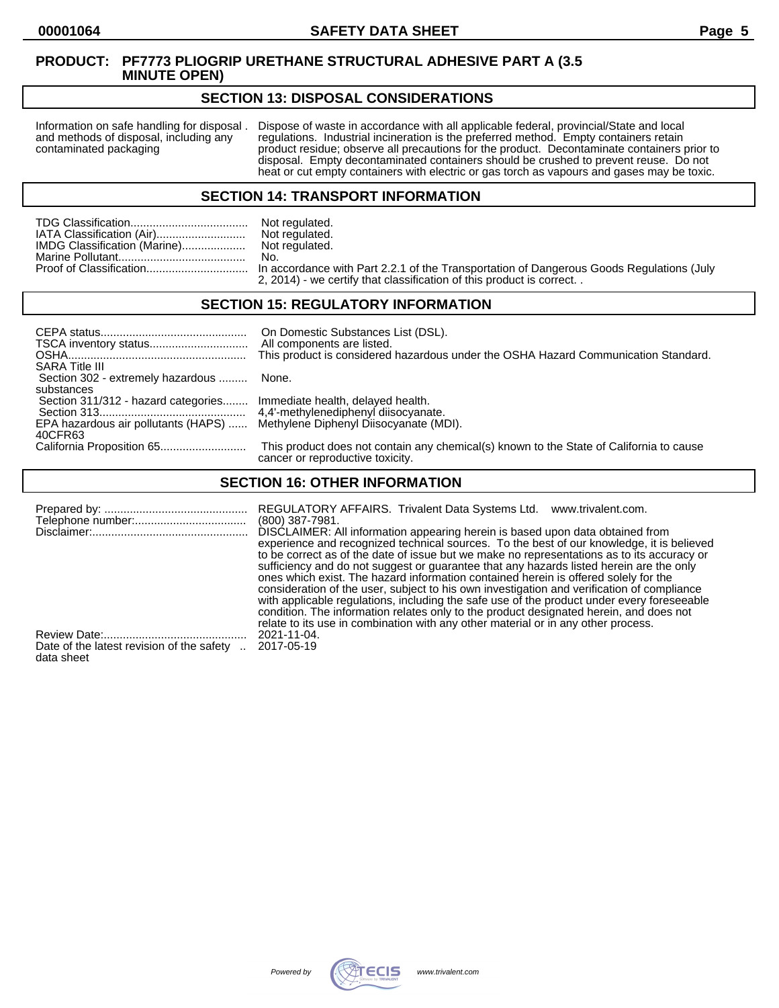#### **SECTION 13: DISPOSAL CONSIDERATIONS**

Information on safe handling for disposal . Dispose of waste in accordance with all applicable federal, provincial/State and local and methods of disposal, including any regulations. Industrial incineration is the preferre and methods of disposal, including any regulations. Industrial incineration is the preferred method. Empty containers retain<br>contaminated packaging product residue; observe all precautions for the product. Decontaminate co product residue; observe all precautions for the product. Decontaminate containers prior to disposal. Empty decontaminated containers should be crushed to prevent reuse. Do not heat or cut empty containers with electric or gas torch as vapours and gases may be toxic.

#### **SECTION 14: TRANSPORT INFORMATION**

|                              | Not regulated. |
|------------------------------|----------------|
| IATA Classification (Air)    | Not regulated. |
| IMDG Classification (Marine) | Not regulated. |
|                              | No.            |
|                              |                |

Not regulated.<br>No. n accordance with Part 2.2.1 of the Transportation of Dangerous Goods Regulations (July 2, 2014) - we certify that classification of this product is correct. .

# **SECTION 15: REGULATORY INFORMATION**

| <b>SARA Title III</b>                                                       | On Domestic Substances List (DSL).<br>All components are listed.<br>This product is considered hazardous under the OSHA Hazard Communication Standard. |
|-----------------------------------------------------------------------------|--------------------------------------------------------------------------------------------------------------------------------------------------------|
| Section 302 - extremely hazardous  None.                                    |                                                                                                                                                        |
| substances                                                                  |                                                                                                                                                        |
| Section 311/312 - hazard categories Immediate health, delayed health.       |                                                                                                                                                        |
|                                                                             |                                                                                                                                                        |
| EPA hazardous air pollutants (HAPS)  Methylene Diphenyl Diisocyanate (MDI). |                                                                                                                                                        |
| 40CFR63                                                                     |                                                                                                                                                        |
|                                                                             | This product does not contain any chemical(s) known to the State of California to cause<br>cancer or reproductive toxicity.                            |

# **SECTION 16: OTHER INFORMATION**

|                                                         | REGULATORY AFFAIRS. Trivalent Data Systems Ltd.<br>www.trivalent.com.<br>$(800)$ 387-7981.<br>DISCLAIMER: All information appearing herein is based upon data obtained from<br>experience and recognized technical sources. To the best of our knowledge, it is believed<br>to be correct as of the date of issue but we make no representations as to its accuracy or<br>sufficiency and do not suggest or guarantee that any hazards listed herein are the only<br>ones which exist. The hazard information contained herein is offered solely for the<br>consideration of the user, subject to his own investigation and verification of compliance<br>with applicable regulations, including the safe use of the product under every foreseeable<br>condition. The information relates only to the product designated herein, and does not<br>relate to its use in combination with any other material or in any other process. |
|---------------------------------------------------------|-------------------------------------------------------------------------------------------------------------------------------------------------------------------------------------------------------------------------------------------------------------------------------------------------------------------------------------------------------------------------------------------------------------------------------------------------------------------------------------------------------------------------------------------------------------------------------------------------------------------------------------------------------------------------------------------------------------------------------------------------------------------------------------------------------------------------------------------------------------------------------------------------------------------------------------|
| Date of the latest revision of the safety<br>data sheet | 2021-11-04.<br>2017-05-19                                                                                                                                                                                                                                                                                                                                                                                                                                                                                                                                                                                                                                                                                                                                                                                                                                                                                                           |

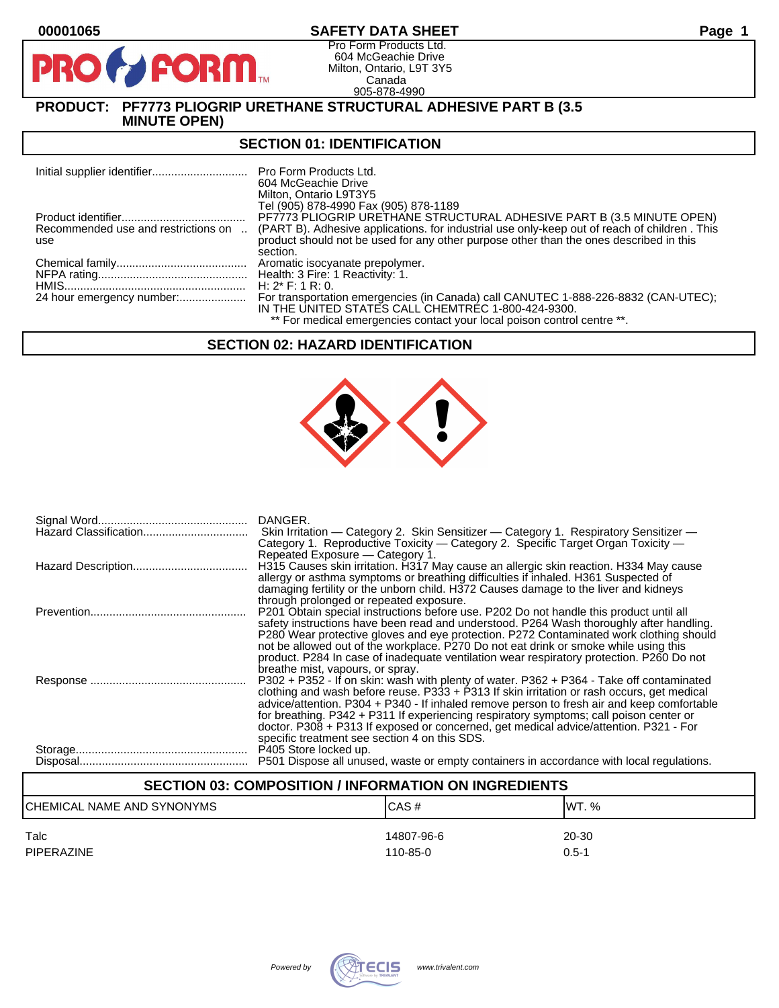# **00001065 SAFETY DATA SHEET Page 1**

Pro Form Products Ltd. 604 McGeachie Drive Milton, Ontario, L9T 3Y5 Canada 905-878-4990

# **PRODUCT: PF7773 PLIOGRIP URETHANE STRUCTURAL ADHESIVE PART B (3.5 MINUTE OPEN)**

**FORM** 

#### **SECTION 01: IDENTIFICATION**

|                                     | <b>Pro Form Products Ltd.</b><br>604 McGeachie Drive<br>Milton, Ontario L9T3Y5                                 |
|-------------------------------------|----------------------------------------------------------------------------------------------------------------|
|                                     | Tel (905) 878-4990 Fax (905) 878-1189<br>PF7773 PLIOGRIP URETHANE STRUCTURAL ADHESIVE PART B (3.5 MINUTE OPEN) |
| Recommended use and restrictions on | (PART B). Adhesive applications, for industrial use only-keep out of reach of children. This                   |
| use                                 | product should not be used for any other purpose other than the ones described in this                         |
|                                     | section.                                                                                                       |
|                                     | Aromatic isocyanate prepolymer.                                                                                |
|                                     |                                                                                                                |
|                                     | H: $2^*$ F: 1 R: 0.                                                                                            |
| 24 hour emergency number:           | For transportation emergencies (in Canada) call CANUTEC 1-888-226-8832 (CAN-UTEC);                             |
|                                     | IN THE UNITED STATES CALL CHEMTREC 1-800-424-9300.                                                             |
|                                     | ** For medical emergencies contact your local poison control centre **.                                        |

# **SECTION 02: HAZARD IDENTIFICATION**



| DANGER.<br>Skin Irritation — Category 2. Skin Sensitizer — Category 1. Respiratory Sensitizer —<br>Category 1. Reproductive Toxicity - Category 2. Specific Target Organ Toxicity -<br>Repeated Exposure - Category 1.                                                                                                                                                                                                                                                                                                     |
|----------------------------------------------------------------------------------------------------------------------------------------------------------------------------------------------------------------------------------------------------------------------------------------------------------------------------------------------------------------------------------------------------------------------------------------------------------------------------------------------------------------------------|
| H315 Causes skin irritation. H317 May cause an allergic skin reaction. H334 May cause<br>allergy or asthma symptoms or breathing difficulties if inhaled. H361 Suspected of<br>damaging fertility or the unborn child. H372 Causes damage to the liver and kidneys<br>through prolonged or repeated exposure.                                                                                                                                                                                                              |
| P201 Obtain special instructions before use. P202 Do not handle this product until all<br>safety instructions have been read and understood. P264 Wash thoroughly after handling.<br>P280 Wear protective gloves and eye protection. P272 Contaminated work clothing should<br>not be allowed out of the workplace. P270 Do not eat drink or smoke while using this<br>product. P284 In case of inadequate ventilation wear respiratory protection. P260 Do not<br>breathe mist, vapours, or spray.                        |
| P302 + P352 - If on skin: wash with plenty of water. P362 + P364 - Take off contaminated<br>clothing and wash before reuse. $P333 + P313$ If skin irritation or rash occurs, get medical<br>advice/attention. P304 + P340 - If inhaled remove person to fresh air and keep comfortable<br>for breathing. P342 + P311 If experiencing respiratory symptoms; call poison center or<br>doctor. P308 + P313 If exposed or concerned, get medical advice/attention. P321 - For<br>specific treatment see section 4 on this SDS. |
| P405 Store locked up.<br>P501 Dispose all unused, waste or empty containers in accordance with local regulations.                                                                                                                                                                                                                                                                                                                                                                                                          |

# **SECTION 03: COMPOSITION / INFORMATION ON INGREDIENTS** CHEMICAL NAME AND SYNONYMS CASE CAS # CAS # WT. % Talc 14807-96-6 20-30 PIPERAZINE 110-85-0 0.5-1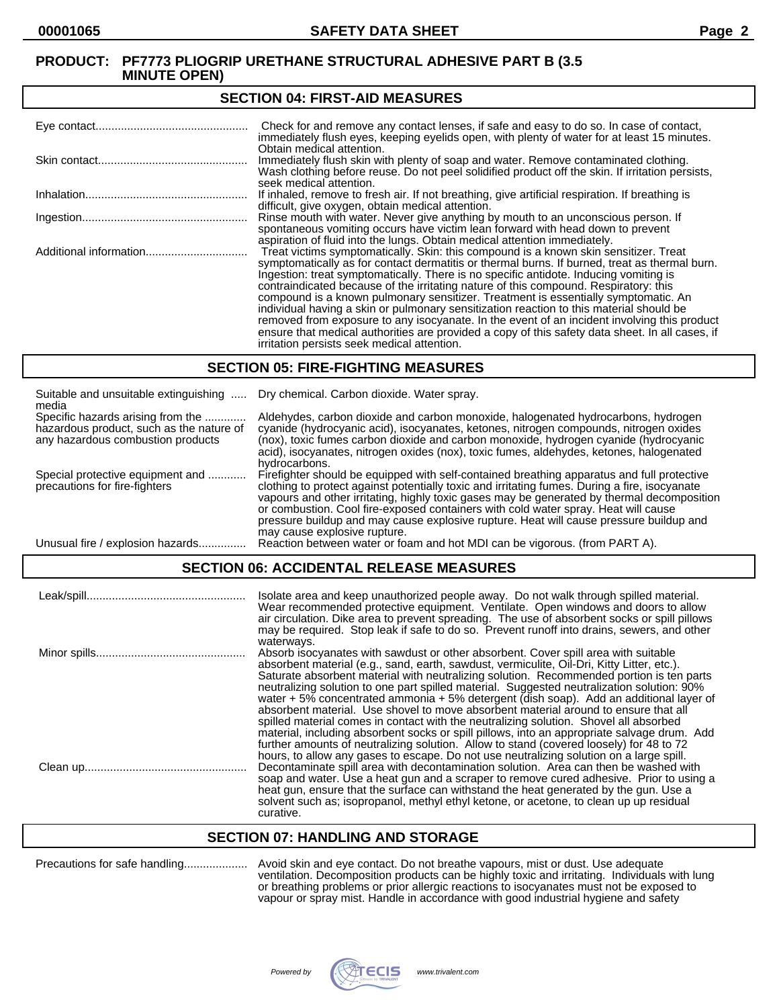#### **SECTION 04: FIRST-AID MEASURES**

| Check for and remove any contact lenses, if safe and easy to do so. In case of contact,<br>immediately flush eyes, keeping eyelids open, with plenty of water for at least 15 minutes.                                                                                                                                                                                                                                                                                                                                                                                                                                                                                                                                                                                                                   |
|----------------------------------------------------------------------------------------------------------------------------------------------------------------------------------------------------------------------------------------------------------------------------------------------------------------------------------------------------------------------------------------------------------------------------------------------------------------------------------------------------------------------------------------------------------------------------------------------------------------------------------------------------------------------------------------------------------------------------------------------------------------------------------------------------------|
| Obtain medical attention.<br>Immediately flush skin with plenty of soap and water. Remove contaminated clothing.<br>Wash clothing before reuse. Do not peel solidified product off the skin. If irritation persists,<br>seek medical attention.                                                                                                                                                                                                                                                                                                                                                                                                                                                                                                                                                          |
| If inhaled, remove to fresh air. If not breathing, give artificial respiration. If breathing is<br>difficult, give oxygen, obtain medical attention.                                                                                                                                                                                                                                                                                                                                                                                                                                                                                                                                                                                                                                                     |
| Rinse mouth with water. Never give anything by mouth to an unconscious person. If<br>spontaneous vomiting occurs have victim lean forward with head down to prevent<br>aspiration of fluid into the lungs. Obtain medical attention immediately.                                                                                                                                                                                                                                                                                                                                                                                                                                                                                                                                                         |
| Treat victims symptomatically. Skin: this compound is a known skin sensitizer. Treat<br>symptomatically as for contact dermatitis or thermal burns. If burned, treat as thermal burn.<br>Ingestion: treat symptomatically. There is no specific antidote. Inducing vomiting is<br>contraindicated because of the irritating nature of this compound. Respiratory: this<br>compound is a known pulmonary sensitizer. Treatment is essentially symptomatic. An<br>individual having a skin or pulmonary sensitization reaction to this material should be<br>removed from exposure to any isocyanate. In the event of an incident involving this product<br>ensure that medical authorities are provided a copy of this safety data sheet. In all cases, if<br>irritation persists seek medical attention. |

#### **SECTION 05: FIRE-FIGHTING MEASURES**

| Suitable and unsuitable extinguishing<br>media                                                                     | Dry chemical. Carbon dioxide. Water spray.                                                                                                                                                                                                                                                                                                                                                                                                                                                                |
|--------------------------------------------------------------------------------------------------------------------|-----------------------------------------------------------------------------------------------------------------------------------------------------------------------------------------------------------------------------------------------------------------------------------------------------------------------------------------------------------------------------------------------------------------------------------------------------------------------------------------------------------|
| Specific hazards arising from the<br>hazardous product, such as the nature of<br>any hazardous combustion products | Aldehydes, carbon dioxide and carbon monoxide, halogenated hydrocarbons, hydrogen<br>cyanide (hydrocyanic acid), isocyanates, ketones, nitrogen compounds, nitrogen oxides<br>(nox), toxic fumes carbon dioxide and carbon monoxide, hydrogen cyanide (hydrocyanic<br>acid), isocyanates, nitrogen oxides (nox), toxic fumes, aldehydes, ketones, halogenated<br>hydrocarbons.                                                                                                                            |
| Special protective equipment and<br>precautions for fire-fighters                                                  | Firefighter should be equipped with self-contained breathing apparatus and full protective<br>clothing to protect against potentially toxic and irritating fumes. During a fire, isocyanate<br>vapours and other irritating, highly toxic gases may be generated by thermal decomposition<br>or combustion. Cool fire-exposed containers with cold water spray. Heat will cause<br>pressure buildup and may cause explosive rupture. Heat will cause pressure buildup and<br>may cause explosive rupture. |
| Unusual fire / explosion hazards                                                                                   | Reaction between water or foam and hot MDI can be vigorous. (from PART A).                                                                                                                                                                                                                                                                                                                                                                                                                                |

# **SECTION 06: ACCIDENTAL RELEASE MEASURES**

| Isolate area and keep unauthorized people away. Do not walk through spilled material.<br>Wear recommended protective equipment. Ventilate. Open windows and doors to allow<br>air circulation. Dike area to prevent spreading. The use of absorbent socks or spill pillows<br>may be required. Stop leak if safe to do so. Prevent runoff into drains, sewers, and other<br>waterways.                                                                                                                                                                                                                                                                                                                                                                  |
|---------------------------------------------------------------------------------------------------------------------------------------------------------------------------------------------------------------------------------------------------------------------------------------------------------------------------------------------------------------------------------------------------------------------------------------------------------------------------------------------------------------------------------------------------------------------------------------------------------------------------------------------------------------------------------------------------------------------------------------------------------|
| Absorb isocyanates with sawdust or other absorbent. Cover spill area with suitable<br>absorbent material (e.g., sand, earth, sawdust, vermiculite, Oil-Dri, Kitty Litter, etc.).<br>Saturate absorbent material with neutralizing solution. Recommended portion is ten parts<br>neutralizing solution to one part spilled material. Suggested neutralization solution: 90%<br>water $+5\%$ concentrated ammonia $+5\%$ detergent (dish soap). Add an additional layer of<br>absorbent material. Use shovel to move absorbent material around to ensure that all<br>spilled material comes in contact with the neutralizing solution. Shovel all absorbed<br>material, including absorbent socks or spill pillows, into an appropriate salvage drum. Add |
| further amounts of neutralizing solution. Allow to stand (covered loosely) for 48 to 72<br>hours, to allow any gases to escape. Do not use neutralizing solution on a large spill.<br>Decontaminate spill area with decontamination solution. Area can then be washed with<br>soap and water. Use a heat gun and a scraper to remove cured adhesive. Prior to using a<br>heat gun, ensure that the surface can withstand the heat generated by the gun. Use a<br>solvent such as; isopropanol, methyl ethyl ketone, or acetone, to clean up up residual<br>curative.                                                                                                                                                                                    |

# **SECTION 07: HANDLING AND STORAGE**

Precautions for safe handling.................... Avoid skin and eye contact. Do not breathe vapours, mist or dust. Use adequate ventilation. Decomposition products can be highly toxic and irritating. Individuals with lung or breathing problems or prior allergic reactions to isocyanates must not be exposed to vapour or spray mist. Handle in accordance with good industrial hygiene and safety

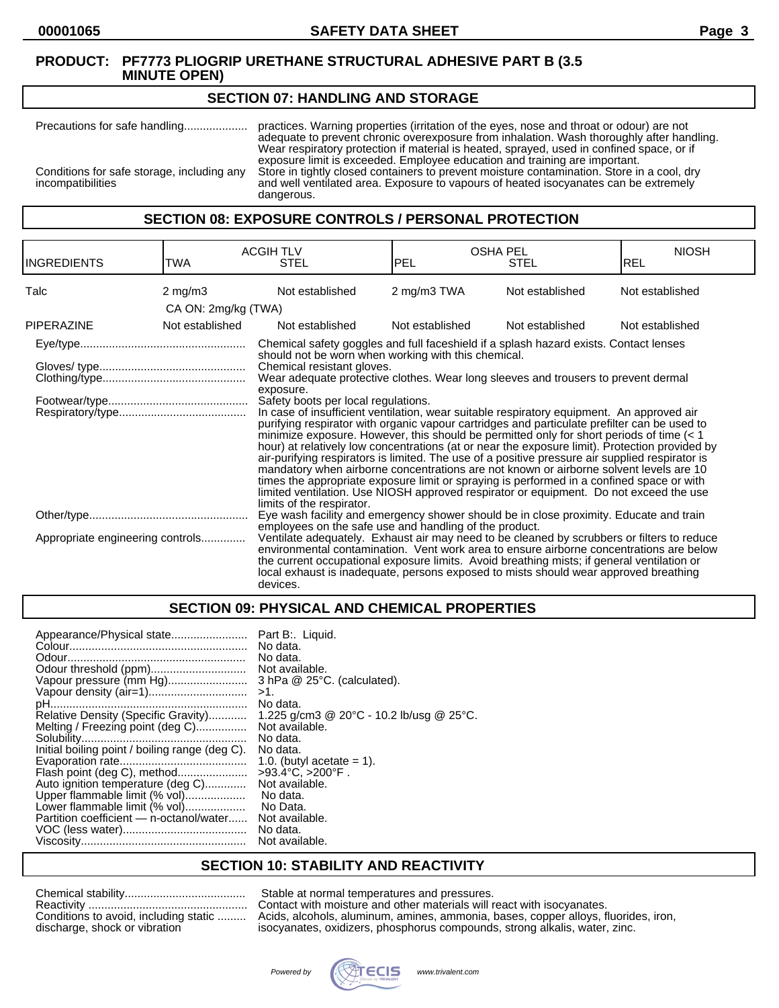#### **SECTION 07: HANDLING AND STORAGE**

Precautions for safe handling.................... practices. Warning properties (irritation of the eyes, nose and throat or odour) are not adequate to prevent chronic overexposure from inhalation. Wash thoroughly after handling. Wear respiratory protection if material is heated, sprayed, used in confined space, or if exposure limit is exceeded. Employee education and training are important. Conditions for safe storage, including any<br>incompatibilities and well ventilated area. Exposure to vapours of heated isocyanates can be extremely<br>compatibilities and well ventilated area. Exposure to vapours of heated isocyanates can be extremely dangerous.

#### **SECTION 08: EXPOSURE CONTROLS / PERSONAL PROTECTION**

| <b>INGREDIENTS</b>               | TWA                 | <b>ACGIH TLV</b><br><b>STEL</b>                                                                                                                                                                                                                                                                                                                                                                                                                                                                                                                                                                                                                                                                                                                                                                                                                                                                                                                                                                                                                                                                                                    | <b>OSHA PEL</b><br><b>PEL</b> | <b>STEL</b>     | <b>NIOSH</b><br><b>REL</b> |
|----------------------------------|---------------------|------------------------------------------------------------------------------------------------------------------------------------------------------------------------------------------------------------------------------------------------------------------------------------------------------------------------------------------------------------------------------------------------------------------------------------------------------------------------------------------------------------------------------------------------------------------------------------------------------------------------------------------------------------------------------------------------------------------------------------------------------------------------------------------------------------------------------------------------------------------------------------------------------------------------------------------------------------------------------------------------------------------------------------------------------------------------------------------------------------------------------------|-------------------------------|-----------------|----------------------------|
| Talc                             | $2 \text{ mg/m}$ 3  | Not established                                                                                                                                                                                                                                                                                                                                                                                                                                                                                                                                                                                                                                                                                                                                                                                                                                                                                                                                                                                                                                                                                                                    | 2 mg/m3 TWA                   | Not established | Not established            |
|                                  | CA ON: 2mg/kg (TWA) |                                                                                                                                                                                                                                                                                                                                                                                                                                                                                                                                                                                                                                                                                                                                                                                                                                                                                                                                                                                                                                                                                                                                    |                               |                 |                            |
| <b>PIPERAZINE</b>                | Not established     | Not established                                                                                                                                                                                                                                                                                                                                                                                                                                                                                                                                                                                                                                                                                                                                                                                                                                                                                                                                                                                                                                                                                                                    | Not established               | Not established | Not established            |
|                                  |                     | Chemical safety goggles and full faceshield if a splash hazard exists. Contact lenses<br>should not be worn when working with this chemical.<br>Chemical resistant gloves.<br>Wear adequate protective clothes. Wear long sleeves and trousers to prevent dermal<br>exposure.<br>Safety boots per local regulations.<br>In case of insufficient ventilation, wear suitable respiratory equipment. An approved air<br>purifying respirator with organic vapour cartridges and particulate prefilter can be used to<br>minimize exposure. However, this should be permitted only for short periods of time $(< 1$<br>hour) at relatively low concentrations (at or near the exposure limit). Protection provided by<br>air-purifying respirators is limited. The use of a positive pressure air supplied respirator is<br>mandatory when airborne concentrations are not known or airborne solvent levels are 10<br>times the appropriate exposure limit or spraying is performed in a confined space or with<br>limited ventilation. Use NIOSH approved respirator or equipment. Do not exceed the use<br>limits of the respirator. |                               |                 |                            |
|                                  |                     | Eye wash facility and emergency shower should be in close proximity. Educate and train<br>employees on the safe use and handling of the product.                                                                                                                                                                                                                                                                                                                                                                                                                                                                                                                                                                                                                                                                                                                                                                                                                                                                                                                                                                                   |                               |                 |                            |
| Appropriate engineering controls |                     | Ventilate adequately. Exhaust air may need to be cleaned by scrubbers or filters to reduce<br>environmental contamination. Vent work area to ensure airborne concentrations are below<br>the current occupational exposure limits. Avoid breathing mists; if general ventilation or<br>local exhaust is inadequate, persons exposed to mists should wear approved breathing<br>devices.                                                                                                                                                                                                                                                                                                                                                                                                                                                                                                                                                                                                                                                                                                                                            |                               |                 |                            |

# **SECTION 09: PHYSICAL AND CHEMICAL PROPERTIES**

| Appearance/Physical state                      | Part B:. Liquid.                         |
|------------------------------------------------|------------------------------------------|
|                                                | No data.                                 |
|                                                | No data.                                 |
|                                                | Not available.                           |
| Vapour pressure (mm Hg)                        | $3$ hPa $@$ 25 $°C$ . (calculated).      |
|                                                | >1.                                      |
|                                                | No data.                                 |
| Relative Density (Specific Gravity)            | 1.225 g/cm3 @ 20°C - 10.2 lb/usg @ 25°C. |
| Melting / Freezing point (deg C)               | Not available.                           |
|                                                | No data.                                 |
| Initial boiling point / boiling range (deg C). | No data.                                 |
|                                                | 1.0. (butyl acetate $= 1$ ).             |
| Flash point (deg C), method                    | $>93.4^{\circ}C$ , $>200^{\circ}F$ .     |
| Auto ignition temperature (deg C)              | Not available.                           |
| Upper flammable limit (% vol)                  | No data.                                 |
| Lower flammable limit (% vol)                  | No Data.                                 |
| Partition coefficient — n-octanol/water        | Not available.                           |
|                                                | No data.                                 |
|                                                | Not available.                           |

# **SECTION 10: STABILITY AND REACTIVITY**

| Conditions to avoid, including static |
|---------------------------------------|
| discharge, shock or vibration         |

Stable at normal temperatures and pressures. Contact with moisture and other materials will react with isocyanates. Acids, alcohols, aluminum, amines, ammonia, bases, copper alloys, fluorides, iron, isocyanates, oxidizers, phosphorus compounds, strong alkalis, water, zinc.

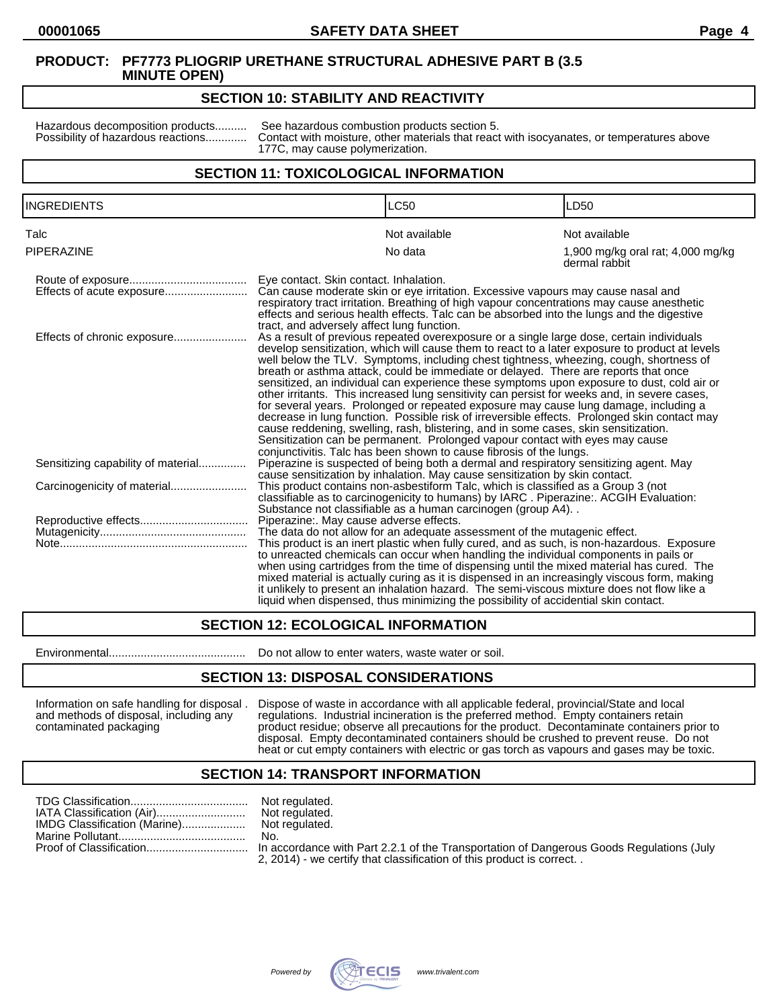#### **SECTION 10: STABILITY AND REACTIVITY**

Hazardous decomposition products.......... See hazardous combustion products section 5.<br>Possibility of hazardous reactions............. Contact with moisture, other materials that reaction Contact with moisture, other materials that react with isocyanates, or temperatures above 177C, may cause polymerization.

#### **SECTION 11: TOXICOLOGICAL INFORMATION**

| <b>INGREDIENTS</b>                 |                                                                                                                                                                                                                                                                                                                                                                                                                                                                                                                                                                                                                                                                                                                                                                                                                                                                                                                                                                                                                                                                | <b>LC50</b>                                                                                                                                                                                                                                                                                                                                                                                                                                                                                                                                                          | LD <sub>50</sub>                                   |
|------------------------------------|----------------------------------------------------------------------------------------------------------------------------------------------------------------------------------------------------------------------------------------------------------------------------------------------------------------------------------------------------------------------------------------------------------------------------------------------------------------------------------------------------------------------------------------------------------------------------------------------------------------------------------------------------------------------------------------------------------------------------------------------------------------------------------------------------------------------------------------------------------------------------------------------------------------------------------------------------------------------------------------------------------------------------------------------------------------|----------------------------------------------------------------------------------------------------------------------------------------------------------------------------------------------------------------------------------------------------------------------------------------------------------------------------------------------------------------------------------------------------------------------------------------------------------------------------------------------------------------------------------------------------------------------|----------------------------------------------------|
| Talc                               |                                                                                                                                                                                                                                                                                                                                                                                                                                                                                                                                                                                                                                                                                                                                                                                                                                                                                                                                                                                                                                                                | Not available                                                                                                                                                                                                                                                                                                                                                                                                                                                                                                                                                        | Not available                                      |
| <b>PIPERAZINE</b>                  |                                                                                                                                                                                                                                                                                                                                                                                                                                                                                                                                                                                                                                                                                                                                                                                                                                                                                                                                                                                                                                                                | No data                                                                                                                                                                                                                                                                                                                                                                                                                                                                                                                                                              | 1,900 mg/kg oral rat; 4,000 mg/kg<br>dermal rabbit |
| Effects of acute exposure          | Eye contact. Skin contact. Inhalation.                                                                                                                                                                                                                                                                                                                                                                                                                                                                                                                                                                                                                                                                                                                                                                                                                                                                                                                                                                                                                         | Can cause moderate skin or eye irritation. Excessive vapours may cause nasal and<br>respiratory tract irritation. Breathing of high vapour concentrations may cause anesthetic<br>effects and serious health effects. Talc can be absorbed into the lungs and the digestive                                                                                                                                                                                                                                                                                          |                                                    |
| Effects of chronic exposure        | tract, and adversely affect lung function.<br>As a result of previous repeated overexposure or a single large dose, certain individuals<br>develop sensitization, which will cause them to react to a later exposure to product at levels<br>well below the TLV. Symptoms, including chest tightness, wheezing, cough, shortness of<br>breath or asthma attack, could be immediate or delayed. There are reports that once<br>sensitized, an individual can experience these symptoms upon exposure to dust, cold air or<br>other irritants. This increased lung sensitivity can persist for weeks and, in severe cases,<br>for several years. Prolonged or repeated exposure may cause lung damage, including a<br>decrease in lung function. Possible risk of irreversible effects. Prolonged skin contact may<br>cause reddening, swelling, rash, blistering, and in some cases, skin sensitization.<br>Sensitization can be permanent. Prolonged vapour contact with eyes may cause<br>conjunctivitis. Talc has been shown to cause fibrosis of the lungs. |                                                                                                                                                                                                                                                                                                                                                                                                                                                                                                                                                                      |                                                    |
| Sensitizing capability of material |                                                                                                                                                                                                                                                                                                                                                                                                                                                                                                                                                                                                                                                                                                                                                                                                                                                                                                                                                                                                                                                                | Piperazine is suspected of being both a dermal and respiratory sensitizing agent. May<br>cause sensitization by inhalation. May cause sensitization by skin contact.                                                                                                                                                                                                                                                                                                                                                                                                 |                                                    |
|                                    |                                                                                                                                                                                                                                                                                                                                                                                                                                                                                                                                                                                                                                                                                                                                                                                                                                                                                                                                                                                                                                                                | This product contains non-asbestiform Talc, which is classified as a Group 3 (not<br>classifiable as to carcinogenicity to humans) by IARC. Piperazine:. ACGIH Evaluation:<br>Substance not classifiable as a human carcinogen (group A4)                                                                                                                                                                                                                                                                                                                            |                                                    |
|                                    | Piperazine:. May cause adverse effects.                                                                                                                                                                                                                                                                                                                                                                                                                                                                                                                                                                                                                                                                                                                                                                                                                                                                                                                                                                                                                        |                                                                                                                                                                                                                                                                                                                                                                                                                                                                                                                                                                      |                                                    |
|                                    |                                                                                                                                                                                                                                                                                                                                                                                                                                                                                                                                                                                                                                                                                                                                                                                                                                                                                                                                                                                                                                                                | The data do not allow for an adequate assessment of the mutagenic effect.                                                                                                                                                                                                                                                                                                                                                                                                                                                                                            |                                                    |
|                                    |                                                                                                                                                                                                                                                                                                                                                                                                                                                                                                                                                                                                                                                                                                                                                                                                                                                                                                                                                                                                                                                                | This product is an inert plastic when fully cured, and as such, is non-hazardous. Exposure<br>to unreacted chemicals can occur when handling the individual components in pails or<br>when using cartridges from the time of dispensing until the mixed material has cured. The<br>mixed material is actually curing as it is dispensed in an increasingly viscous form, making<br>it unlikely to present an inhalation hazard. The semi-viscous mixture does not flow like a<br>liquid when dispensed, thus minimizing the possibility of accidential skin contact, |                                                    |

# **SECTION 12: ECOLOGICAL INFORMATION**

Environmental........................................... Do not allow to enter waters, waste water or soil.

#### **SECTION 13: DISPOSAL CONSIDERATIONS**

Information on safe handling for disposal . Dispose of waste in accordance with all applicable federal, provincial/State and local and methods of disposal, including any regulations. Industrial incineration is the preferre and methods of disposal, including any regulations. Industrial incineration is the preferred method. Empty containers retain<br>
product residue; observe all precautions for the product. Decontaminate containers product residue; observe all precautions for the product. Decontaminate containers prior to disposal. Empty decontaminated containers should be crushed to prevent reuse. Do not heat or cut empty containers with electric or gas torch as vapours and gases may be toxic.

#### **SECTION 14: TRANSPORT INFORMATION**

|                              | Not regulated.               |
|------------------------------|------------------------------|
| IATA Classification (Air)    | Not regulated.               |
| IMDG Classification (Marine) | Not regulated.               |
|                              | No.                          |
|                              | In accordance<br>$- - - - -$ |

ot regulated. accordance with Part 2.2.1 of the Transportation of Dangerous Goods Regulations (July 2, 2014) - we certify that classification of this product is correct. .